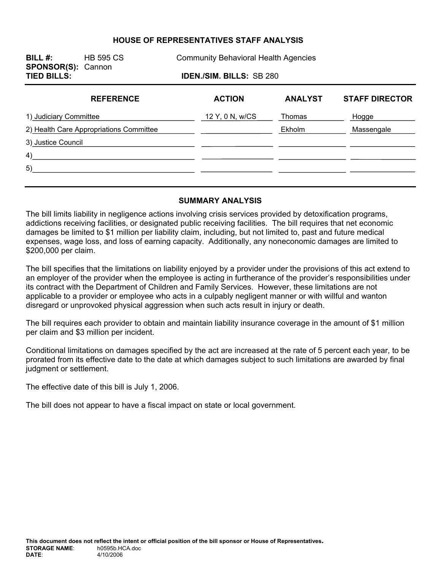#### **HOUSE OF REPRESENTATIVES STAFF ANALYSIS**

**SPONSOR(S):** Cannon

**BILL #:** HB 595 CS Community Behavioral Health Agencies

**TIED BILLS: IDEN./SIM. BILLS:** SB 280

| <b>REFERENCE</b>                        | <b>ACTION</b>   | <b>ANALYST</b> | <b>STAFF DIRECTOR</b> |
|-----------------------------------------|-----------------|----------------|-----------------------|
| 1) Judiciary Committee                  | 12 Y, 0 N, w/CS | Thomas         | Hogge                 |
| 2) Health Care Appropriations Committee |                 | Ekholm         | Massengale            |
| 3) Justice Council                      |                 |                |                       |
| 4)                                      |                 |                |                       |
| 5)                                      |                 |                |                       |
|                                         |                 |                |                       |

#### **SUMMARY ANALYSIS**

The bill limits liability in negligence actions involving crisis services provided by detoxification programs, addictions receiving facilities, or designated public receiving facilities. The bill requires that net economic damages be limited to \$1 million per liability claim, including, but not limited to, past and future medical expenses, wage loss, and loss of earning capacity. Additionally, any noneconomic damages are limited to \$200,000 per claim.

The bill specifies that the limitations on liability enjoyed by a provider under the provisions of this act extend to an employer of the provider when the employee is acting in furtherance of the provider's responsibilities under its contract with the Department of Children and Family Services. However, these limitations are not applicable to a provider or employee who acts in a culpably negligent manner or with willful and wanton disregard or unprovoked physical aggression when such acts result in injury or death.

The bill requires each provider to obtain and maintain liability insurance coverage in the amount of \$1 million per claim and \$3 million per incident.

Conditional limitations on damages specified by the act are increased at the rate of 5 percent each year, to be prorated from its effective date to the date at which damages subject to such limitations are awarded by final judgment or settlement.

The effective date of this bill is July 1, 2006.

The bill does not appear to have a fiscal impact on state or local government.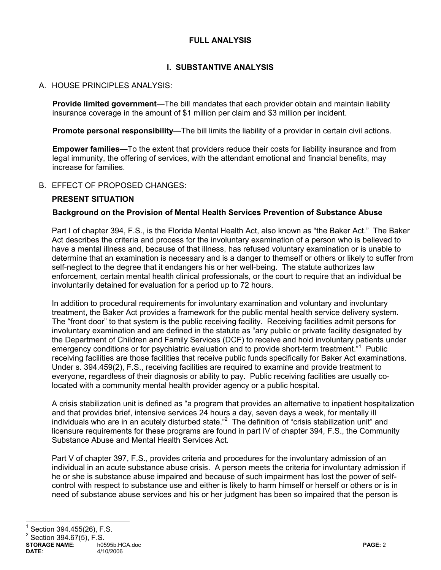## **FULL ANALYSIS**

## **I. SUBSTANTIVE ANALYSIS**

## A. HOUSE PRINCIPLES ANALYSIS:

**Provide limited government**—The bill mandates that each provider obtain and maintain liability insurance coverage in the amount of \$1 million per claim and \$3 million per incident.

**Promote personal responsibility**—The bill limits the liability of a provider in certain civil actions.

**Empower families**—To the extent that providers reduce their costs for liability insurance and from legal immunity, the offering of services, with the attendant emotional and financial benefits, may increase for families.

#### B. EFFECT OF PROPOSED CHANGES:

#### **PRESENT SITUATION**

#### **Background on the Provision of Mental Health Services Prevention of Substance Abuse**

Part I of chapter 394, F.S., is the Florida Mental Health Act, also known as "the Baker Act." The Baker Act describes the criteria and process for the involuntary examination of a person who is believed to have a mental illness and, because of that illness, has refused voluntary examination or is unable to determine that an examination is necessary and is a danger to themself or others or likely to suffer from self-neglect to the degree that it endangers his or her well-being. The statute authorizes law enforcement, certain mental health clinical professionals, or the court to require that an individual be involuntarily detained for evaluation for a period up to 72 hours.

In addition to procedural requirements for involuntary examination and voluntary and involuntary treatment, the Baker Act provides a framework for the public mental health service delivery system. The "front door" to that system is the public receiving facility. Receiving facilities admit persons for involuntary examination and are defined in the statute as "any public or private facility designated by the Department of Children and Family Services (DCF) to receive and hold involuntary patients under emergency conditions or for psychiatric evaluation and to provide short-term treatment."<sup>1</sup> Public receiving facilities are those facilities that receive public funds specifically for Baker Act examinations. Under s. 394.459(2), F.S., receiving facilities are required to examine and provide treatment to everyone, regardless of their diagnosis or ability to pay. Public receiving facilities are usually colocated with a community mental health provider agency or a public hospital.

A crisis stabilization unit is defined as "a program that provides an alternative to inpatient hospitalization and that provides brief, intensive services 24 hours a day, seven days a week, for mentally ill individuals who are in an acutely disturbed state."<sup>2</sup> The definition of "crisis stabilization unit" and licensure requirements for these programs are found in part IV of chapter 394, F.S., the Community Substance Abuse and Mental Health Services Act.

Part V of chapter 397, F.S., provides criteria and procedures for the involuntary admission of an individual in an acute substance abuse crisis. A person meets the criteria for involuntary admission if he or she is substance abuse impaired and because of such impairment has lost the power of selfcontrol with respect to substance use and either is likely to harm himself or herself or others or is in need of substance abuse services and his or her judgment has been so impaired that the person is

# 1 Section 394.455(26), F.S.

 $^{2}$  Section 394.67(5), F.S.

**STORAGE NAME:**  $\begin{array}{ccc} \sim & \text{no595b.HCA.doc} \\ 4/10/2006 & \text{pAGE: } 2 \end{array}$ **DATE**: 4/10/2006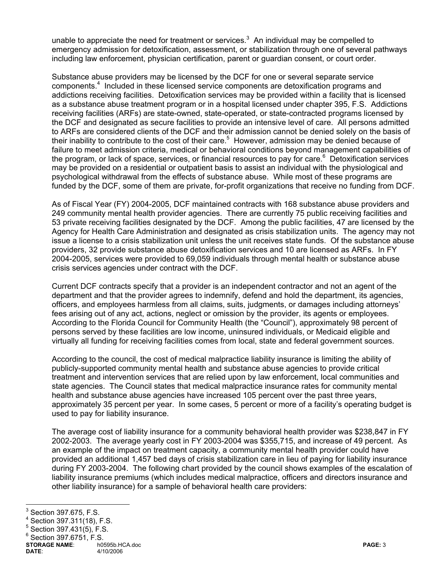unable to appreciate the need for treatment or services.<sup>3</sup> An individual may be compelled to emergency admission for detoxification, assessment, or stabilization through one of several pathways including law enforcement, physician certification, parent or guardian consent, or court order.

Substance abuse providers may be licensed by the DCF for one or several separate service components.<sup>4</sup> Included in these licensed service components are detoxification programs and addictions receiving facilities. Detoxification services may be provided within a facility that is licensed as a substance abuse treatment program or in a hospital licensed under chapter 395, F.S. Addictions receiving facilities (ARFs) are state-owned, state-operated, or state-contracted programs licensed by the DCF and designated as secure facilities to provide an intensive level of care. All persons admitted to ARFs are considered clients of the DCF and their admission cannot be denied solely on the basis of their inability to contribute to the cost of their care.<sup>5</sup> However, admission may be denied because of failure to meet admission criteria, medical or behavioral conditions beyond management capabilities of the program, or lack of space, services, or financial resources to pay for care.<sup>6</sup> Detoxification services may be provided on a residential or outpatient basis to assist an individual with the physiological and psychological withdrawal from the effects of substance abuse. While most of these programs are funded by the DCF, some of them are private, for-profit organizations that receive no funding from DCF.

As of Fiscal Year (FY) 2004-2005, DCF maintained contracts with 168 substance abuse providers and 249 community mental health provider agencies. There are currently 75 public receiving facilities and 53 private receiving facilities designated by the DCF. Among the public facilities, 47 are licensed by the Agency for Health Care Administration and designated as crisis stabilization units. The agency may not issue a license to a crisis stabilization unit unless the unit receives state funds. Of the substance abuse providers, 32 provide substance abuse detoxification services and 10 are licensed as ARFs. In FY 2004-2005, services were provided to 69,059 individuals through mental health or substance abuse crisis services agencies under contract with the DCF.

Current DCF contracts specify that a provider is an independent contractor and not an agent of the department and that the provider agrees to indemnify, defend and hold the department, its agencies, officers, and employees harmless from all claims, suits, judgments, or damages including attorneys' fees arising out of any act, actions, neglect or omission by the provider, its agents or employees. According to the Florida Council for Community Health (the "Council"), approximately 98 percent of persons served by these facilities are low income, uninsured individuals, or Medicaid eligible and virtually all funding for receiving facilities comes from local, state and federal government sources.

According to the council, the cost of medical malpractice liability insurance is limiting the ability of publicly-supported community mental health and substance abuse agencies to provide critical treatment and intervention services that are relied upon by law enforcement, local communities and state agencies. The Council states that medical malpractice insurance rates for community mental health and substance abuse agencies have increased 105 percent over the past three years, approximately 35 percent per year. In some cases, 5 percent or more of a facility's operating budget is used to pay for liability insurance.

The average cost of liability insurance for a community behavioral health provider was \$238,847 in FY 2002-2003. The average yearly cost in FY 2003-2004 was \$355,715, and increase of 49 percent. As an example of the impact on treatment capacity, a community mental health provider could have provided an additional 1,457 bed days of crisis stabilization care in lieu of paying for liability insurance during FY 2003-2004. The following chart provided by the council shows examples of the escalation of liability insurance premiums (which includes medical malpractice, officers and directors insurance and other liability insurance) for a sample of behavioral health care providers:

<sup>&</sup>lt;sup>3</sup> Section 397.675, F.S.<br><sup>4</sup> Section 397.675, F.S.

Section 397.311(18), F.S.

<sup>5</sup> Section 397.431(5), F.S.

 $6$  Section 397.6751, F.S.

**STORAGE NAME**: h0595b.HCA.doc **PAGE:** 3 **DATE**: 4/10/2006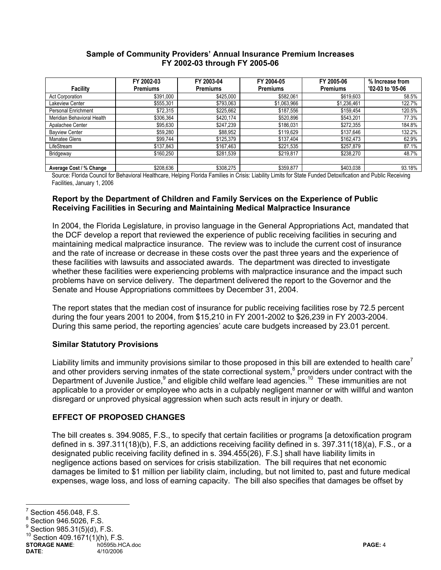#### **Sample of Community Providers' Annual Insurance Premium Increases FY 2002-03 through FY 2005-06**

|                            | FY 2002-03      | FY 2003-04      | FY 2004-05      | FY 2005-06      | % Increase from  |
|----------------------------|-----------------|-----------------|-----------------|-----------------|------------------|
| <b>Facility</b>            | <b>Premiums</b> | <b>Premiums</b> | <b>Premiums</b> | <b>Premiums</b> | '02-03 to '05-06 |
| <b>Act Corporation</b>     | \$391,000       | \$425,000       | \$582,061       | \$619,603       | 58.5%            |
| Lakeview Center            | \$555,301       | \$793,063       | \$1,063,966     | \$1,236,461     | 122.7%           |
| Personal Enrichment        | \$72,315        | \$225,662       | \$187,556       | \$159,454       | 120.5%           |
| Meridian Behavioral Health | \$306,364       | \$420,174       | \$520,896       | \$543,201       | 77.3%            |
| Apalachee Center           | \$95,630        | \$247,239       | \$186,031       | \$272,355       | 184.8%           |
| <b>Bayview Center</b>      | \$59,280        | \$88,952        | \$119,629       | \$137,646       | 132.2%           |
| Manatee Glens              | \$99,744        | \$125,379       | \$137,404       | \$162,473       | 62.9%            |
| LifeStream                 | \$137,843       | \$167,463       | \$221,535       | \$257,879       | 87.1%            |
| Bridgeway                  | \$160,250       | \$281,539       | \$219,817       | \$238,270       | 48.7%            |
|                            |                 |                 |                 |                 |                  |
| Average Cost / % Change    | \$208,636       | \$308,275       | \$359,877       | \$403,038       | 93.18%           |

Source: Florida Council for Behavioral Healthcare, Helping Florida Families in Crisis: Liability Limits for State Funded Detoxification and Public Receiving Facilities, January 1, 2006

#### **Report by the Department of Children and Family Services on the Experience of Public Receiving Facilities in Securing and Maintaining Medical Malpractice Insurance**

In 2004, the Florida Legislature, in proviso language in the General Appropriations Act, mandated that the DCF develop a report that reviewed the experience of public receiving facilities in securing and maintaining medical malpractice insurance. The review was to include the current cost of insurance and the rate of increase or decrease in these costs over the past three years and the experience of these facilities with lawsuits and associated awards. The department was directed to investigate whether these facilities were experiencing problems with malpractice insurance and the impact such problems have on service delivery. The department delivered the report to the Governor and the Senate and House Appropriations committees by December 31, 2004.

The report states that the median cost of insurance for public receiving facilities rose by 72.5 percent during the four years 2001 to 2004, from \$15,210 in FY 2001-2002 to \$26,239 in FY 2003-2004. During this same period, the reporting agencies' acute care budgets increased by 23.01 percent.

#### **Similar Statutory Provisions**

Liability limits and immunity provisions similar to those proposed in this bill are extended to health care<sup>7</sup> and other providers serving inmates of the state correctional system, $8$  providers under contract with the Department of Juvenile Justice,<sup>9</sup> and eligible child welfare lead agencies.<sup>10</sup> These immunities are not applicable to a provider or employee who acts in a culpably negligent manner or with willful and wanton disregard or unproved physical aggression when such acts result in injury or death.

## **EFFECT OF PROPOSED CHANGES**

The bill creates s. 394.9085, F.S., to specify that certain facilities or programs [a detoxification program defined in s. 397.311(18)(b), F.S, an addictions receiving facility defined in s. 397.311(18)(a), F.S., or a designated public receiving facility defined in s. 394.455(26), F.S.] shall have liability limits in negligence actions based on services for crisis stabilization. The bill requires that net economic damages be limited to \$1 million per liability claim, including, but not limited to, past and future medical expenses, wage loss, and loss of earning capacity. The bill also specifies that damages be offset by

<sup>-&</sup>lt;br>7 Section 456.048, F.S.

<sup>8</sup> Section 946.5026, F.S.

<sup>9</sup> Section 985.31(5)(d), F.S.

Section  $409.1671(1)(h)$ , F.S.

**STORAGE NAME**: h0595b.HCA.doc **PAGE:** 4 **DATE**: 4/10/2006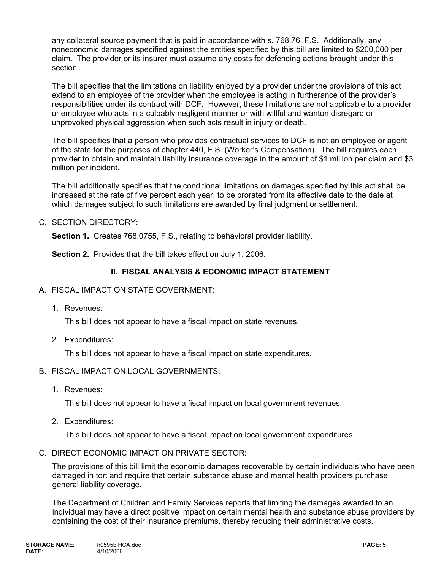any collateral source payment that is paid in accordance with s. 768.76, F.S. Additionally, any noneconomic damages specified against the entities specified by this bill are limited to \$200,000 per claim. The provider or its insurer must assume any costs for defending actions brought under this section.

The bill specifies that the limitations on liability enjoyed by a provider under the provisions of this act extend to an employee of the provider when the employee is acting in furtherance of the provider's responsibilities under its contract with DCF. However, these limitations are not applicable to a provider or employee who acts in a culpably negligent manner or with willful and wanton disregard or unprovoked physical aggression when such acts result in injury or death.

The bill specifies that a person who provides contractual services to DCF is not an employee or agent of the state for the purposes of chapter 440, F.S. (Worker's Compensation). The bill requires each provider to obtain and maintain liability insurance coverage in the amount of \$1 million per claim and \$3 million per incident.

The bill additionally specifies that the conditional limitations on damages specified by this act shall be increased at the rate of five percent each year, to be prorated from its effective date to the date at which damages subject to such limitations are awarded by final judgment or settlement.

C. SECTION DIRECTORY:

**Section 1.** Creates 768.0755, F.S., relating to behavioral provider liability.

**Section 2.** Provides that the bill takes effect on July 1, 2006.

## **II. FISCAL ANALYSIS & ECONOMIC IMPACT STATEMENT**

- A. FISCAL IMPACT ON STATE GOVERNMENT:
	- 1. Revenues:

This bill does not appear to have a fiscal impact on state revenues.

2. Expenditures:

This bill does not appear to have a fiscal impact on state expenditures.

#### B. FISCAL IMPACT ON LOCAL GOVERNMENTS:

1. Revenues:

This bill does not appear to have a fiscal impact on local government revenues.

2. Expenditures:

This bill does not appear to have a fiscal impact on local government expenditures.

#### C. DIRECT ECONOMIC IMPACT ON PRIVATE SECTOR:

The provisions of this bill limit the economic damages recoverable by certain individuals who have been damaged in tort and require that certain substance abuse and mental health providers purchase general liability coverage.

The Department of Children and Family Services reports that limiting the damages awarded to an individual may have a direct positive impact on certain mental health and substance abuse providers by containing the cost of their insurance premiums, thereby reducing their administrative costs.